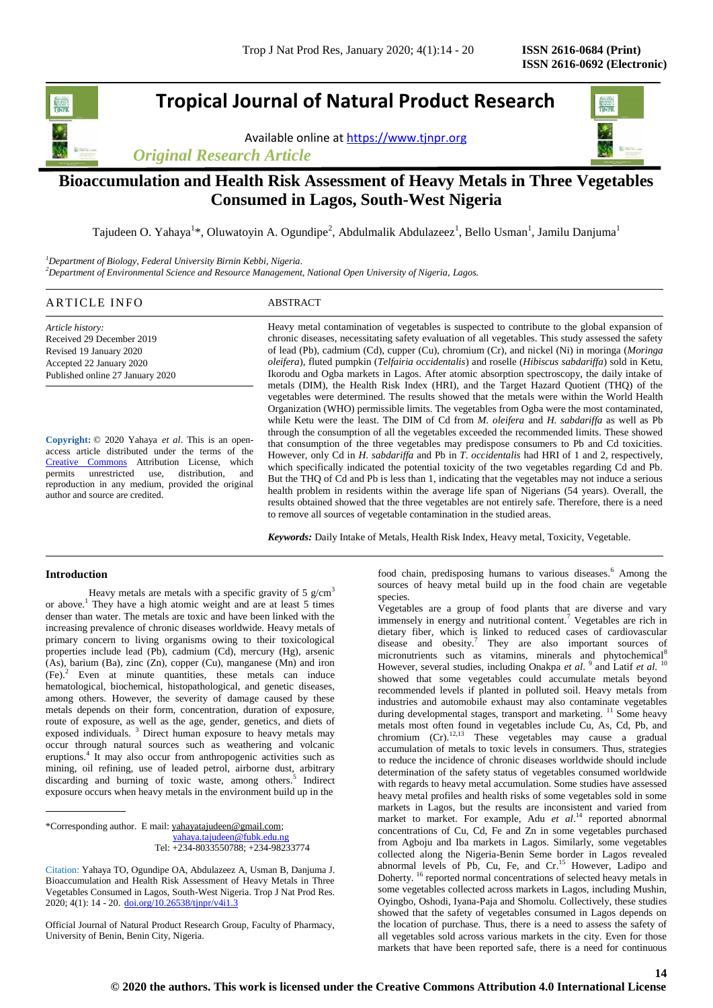# **Tropical Journal of Natural Product Research**

Available online a[t https://www.tjnpr.org](https://www.tjnpr.org/)





# **Bioaccumulation and Health Risk Assessment of Heavy Metals in Three Vegetables Consumed in Lagos, South-West Nigeria**

Tajudeen O. Yahaya<sup>1</sup>\*, Oluwatoyin A. Ogundipe<sup>2</sup>, Abdulmalik Abdulazeez<sup>1</sup>, Bello Usman<sup>1</sup>, Jamilu Danjuma<sup>1</sup>

*<sup>1</sup>Department of Biology, Federal University Birnin Kebbi, Nigeria. <sup>2</sup>Department of Environmental Science and Resource Management, National Open University of Nigeria, Lagos.*

# ARTICLE INFO ABSTRACT

*Article history:* Received 29 December 2019 Revised 19 January 2020 Accepted 22 January 2020 Published online 27 January 2020

**Copyright:** © 2020 Yahaya *et al*. This is an openaccess article distributed under the terms of the [Creative Commons](https://creativecommons.org/licenses/by/4.0/) Attribution License, which permits unrestricted use, distribution, and reproduction in any medium, provided the original author and source are credited.

Heavy metal contamination of vegetables is suspected to contribute to the global expansion of chronic diseases, necessitating safety evaluation of all vegetables. This study assessed the safety of lead (Pb), cadmium (Cd), cupper (Cu), chromium (Cr), and nickel (Ni) in moringa (*Moringa oleifera*), fluted pumpkin (*Telfairia occidentalis*) and roselle (*Hibiscus sabdariffa*) sold in Ketu, Ikorodu and Ogba markets in Lagos. After atomic absorption spectroscopy, the daily intake of metals (DIM), the Health Risk Index (HRI), and the Target Hazard Quotient (THQ) of the vegetables were determined. The results showed that the metals were within the World Health Organization (WHO) permissible limits. The vegetables from Ogba were the most contaminated, while Ketu were the least. The DIM of Cd from *M. oleifera* and *H. sabdariffa* as well as Pb through the consumption of all the vegetables exceeded the recommended limits. These showed that consumption of the three vegetables may predispose consumers to Pb and Cd toxicities. However, only Cd in *H*. *sabdariffa* and Pb in *T*. *occidentalis* had HRI of 1 and 2, respectively, which specifically indicated the potential toxicity of the two vegetables regarding Cd and Pb. But the THQ of Cd and Pb is less than 1, indicating that the vegetables may not induce a serious health problem in residents within the average life span of Nigerians (54 years). Overall, the results obtained showed that the three vegetables are not entirely safe. Therefore, there is a need to remove all sources of vegetable contamination in the studied areas.

*Keywords:* Daily Intake of Metals, Health Risk Index, Heavy metal, Toxicity, Vegetable.

# **Introduction**

Heavy metals are metals with a specific gravity of 5  $g/cm<sup>3</sup>$ or above.<sup>1</sup> They have a high atomic weight and are at least 5 times denser than water. The metals are toxic and have been linked with the increasing prevalence of chronic diseases worldwide. Heavy metals of primary concern to living organisms owing to their toxicological properties include lead (Pb), cadmium (Cd), mercury (Hg), arsenic (As), barium (Ba), zinc (Zn), copper (Cu), manganese (Mn) and iron (Fe).<sup>2</sup> Even at minute quantities, these metals can induce hematological, biochemical, histopathological, and genetic diseases, among others. However, the severity of damage caused by these metals depends on their form, concentration, duration of exposure, route of exposure, as well as the age, gender, genetics, and diets of exposed individuals. <sup>3</sup> Direct human exposure to heavy metals may occur through natural sources such as weathering and volcanic eruptions.<sup>4</sup> It may also occur from anthropogenic activities such as mining, oil refining, use of leaded petrol, airborne dust, arbitrary discarding and burning of toxic waste, among others.<sup>5</sup> Indirect exposure occurs when heavy metals in the environment build up in the

\*Corresponding author. E mail[: yahayatajudeen@gmail.com;](mailto:yahayatajudeen@gmail.com) [yahaya.tajudeen@fubk.edu.ng](mailto:yahaya.tajudeen@fubk.edu.ng) Tel: +234-8033550788; +234-98233774

Official Journal of Natural Product Research Group, Faculty of Pharmacy, University of Benin, Benin City, Nigeria.

food chain, predisposing humans to various diseases.<sup>6</sup> Among the sources of heavy metal build up in the food chain are vegetable species.

Vegetables are a group of food plants that are diverse and vary immensely in energy and nutritional content.<sup>7</sup> Vegetables are rich in dietary fiber, which is linked to reduced cases of cardiovascular disease and obesity.<sup>7</sup> They are also important sources of micronutrients such as vitamins, minerals and phytochemical<sup>8</sup> However, several studies, including Onakpa *et al.* <sup>9</sup> and Latif *et al.* <sup>10</sup> showed that some vegetables could accumulate metals beyond recommended levels if planted in polluted soil. Heavy metals from industries and automobile exhaust may also contaminate vegetables during developmental stages, transport and marketing. <sup>11</sup> Some heavy metals most often found in vegetables include Cu, As, Cd, Pb, and chromium  $(Cr)$ .<sup>12,13</sup> These vegetables may cause a gradual accumulation of metals to toxic levels in consumers. Thus, strategies to reduce the incidence of chronic diseases worldwide should include determination of the safety status of vegetables consumed worldwide with regards to heavy metal accumulation. Some studies have assessed heavy metal profiles and health risks of some vegetables sold in some markets in Lagos, but the results are inconsistent and varied from market to market. For example, Adu *et al*. <sup>14</sup> reported abnormal concentrations of Cu, Cd, Fe and Zn in some vegetables purchased from Agboju and Iba markets in Lagos. Similarly, some vegetables collected along the Nigeria-Benin Seme border in Lagos revealed abnormal levels of Pb, Cu, Fe, and Cr.<sup>15</sup> However, Ladipo and Doherty. <sup>16</sup> reported normal concentrations of selected heavy metals in some vegetables collected across markets in Lagos, including Mushin, Oyingbo, Oshodi, Iyana-Paja and Shomolu. Collectively, these studies showed that the safety of vegetables consumed in Lagos depends on the location of purchase. Thus, there is a need to assess the safety of all vegetables sold across various markets in the city. Even for those markets that have been reported safe, there is a need for continuous

Citation: Yahaya TO, Ogundipe OA, Abdulazeez A, Usman B, Danjuma J. Bioaccumulation and Health Risk Assessment of Heavy Metals in Three Vegetables Consumed in Lagos, South-West Nigeria. Trop J Nat Prod Res. 2020; 4(1): 14 - 20.  $\frac{\text{doi.org}}{10.26538/\text{t} \cdot \text{ppr}}/v41.3$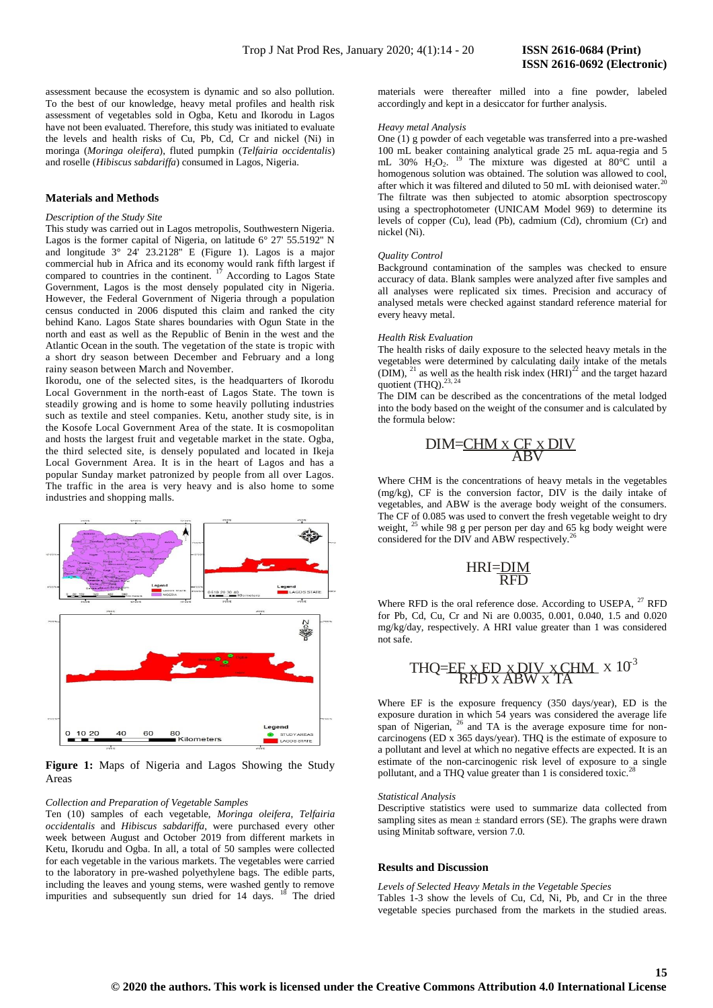assessment because the ecosystem is dynamic and so also pollution. To the best of our knowledge, heavy metal profiles and health risk assessment of vegetables sold in Ogba, Ketu and Ikorodu in Lagos have not been evaluated. Therefore, this study was initiated to evaluate the levels and health risks of Cu, Pb, Cd, Cr and nickel (Ni) in moringa (*Moringa oleifera*), fluted pumpkin (*Telfairia occidentalis*) and roselle (*Hibiscus sabdariffa*) consumed in Lagos, Nigeria.

# **Materials and Methods**

### *Description of the Study Site*

This study was carried out in Lagos metropolis, Southwestern Nigeria. Lagos is the former capital of Nigeria, on latitude 6° 27' 55.5192'' N and longitude 3° 24' 23.2128'' E (Figure 1). Lagos is a major commercial hub in Africa and its economy would rank fifth largest if compared to countries in the continent. <sup>17</sup> According to Lagos State Government, Lagos is the most densely populated city in Nigeria. However, the Federal Government of Nigeria through a population census conducted in 2006 disputed this claim and ranked the city behind Kano. Lagos State shares boundaries with Ogun State in the north and east as well as the Republic of Benin in the west and the Atlantic Ocean in the south. The vegetation of the state is tropic with a short dry season between December and February and a long rainy season between March and November.

Ikorodu, one of the selected sites, is the headquarters of Ikorodu Local Government in the north-east of Lagos State. The town is steadily growing and is home to some heavily polluting industries such as textile and steel companies. Ketu, another study site, is in the Kosofe Local Government Area of the state. It is cosmopolitan and hosts the largest fruit and vegetable market in the state. Ogba, the third selected site, is densely populated and located in Ikeja Local Government Area. It is in the heart of Lagos and has a popular Sunday market patronized by people from all over Lagos. The traffic in the area is very heavy and is also home to some industries and shopping malls.



**Figure 1:** Maps of Nigeria and Lagos Showing the Study Areas

#### *Collection and Preparation of Vegetable Samples*

Ten (10) samples of each vegetable, *Moringa oleifera*, *Telfairia occidentalis* and *Hibiscus sabdariffa*, were purchased every other week between August and October 2019 from different markets in Ketu, Ikorudu and Ogba. In all, a total of 50 samples were collected for each vegetable in the various markets. The vegetables were carried to the laboratory in pre-washed polyethylene bags. The edible parts, including the leaves and young stems, were washed gently to remove impurities and subsequently sun dried for 14 days. <sup>18</sup> The dried

materials were thereafter milled into a fine powder, labeled accordingly and kept in a desiccator for further analysis.

#### *Heavy metal Analysis*

One (1) g powder of each vegetable was transferred into a pre-washed 100 mL beaker containing analytical grade 25 mL aqua-regia and 5 mL 30% H2O2. <sup>19</sup> The mixture was digested at 80°C until a homogenous solution was obtained. The solution was allowed to cool, after which it was filtered and diluted to 50 mL with deionised water.<sup>20</sup> The filtrate was then subjected to atomic absorption spectroscopy using a spectrophotometer (UNICAM Model 969) to determine its levels of copper (Cu), lead (Pb), cadmium (Cd), chromium (Cr) and nickel (Ni).

# *Quality Control*

Background contamination of the samples was checked to ensure accuracy of data. Blank samples were analyzed after five samples and all analyses were replicated six times. Precision and accuracy of analysed metals were checked against standard reference material for every heavy metal.

#### *Health Risk Evaluation*

The health risks of daily exposure to the selected heavy metals in the vegetables were determined by calculating daily intake of the metals (DIM), <sup>21</sup> as well as the health risk index  $(HRI)^{22}$  and the target hazard quotient (THQ). $^{23, 24}$ 

The DIM can be described as the concentrations of the metal lodged into the body based on the weight of the consumer and is calculated by the formula below:

$$
\frac{DIM=CHM \times CF \times DIV}{ABV}
$$

Where CHM is the concentrations of heavy metals in the vegetables (mg/kg), CF is the conversion factor, DIV is the daily intake of vegetables, and ABW is the average body weight of the consumers. The CF of 0.085 was used to convert the fresh vegetable weight to dry weight, <sup>25</sup> while 98 g per person per day and 65 kg body weight were considered for the DIV and ABW respectively.<sup>26</sup>

$$
\frac{\text{HRI} = \text{DIM}}{\text{RFD}}
$$

Where RFD is the oral reference dose. According to USEPA, <sup>27</sup> RFD for Pb, Cd, Cu, Cr and Ni are 0.0035, 0.001, 0.040, 1.5 and 0.020 mg/kg/day, respectively. A HRI value greater than 1 was considered not safe.

$$
THQ = EF \times ED \times DIV \times CHM \times 10^3
$$
  
RFD x ABW x TA

Where EF is the exposure frequency (350 days/year), ED is the exposure duration in which 54 years was considered the average life span of Nigerian, <sup>26</sup> and TA is the average exposure time for noncarcinogens (ED x 365 days/year). THQ is the estimate of exposure to a pollutant and level at which no negative effects are expected. It is an estimate of the non-carcinogenic risk level of exposure to a single pollutant, and a THQ value greater than 1 is considered toxic.<sup>2</sup>

#### *Statistical Analysis*

Descriptive statistics were used to summarize data collected from sampling sites as mean  $\pm$  standard errors (SE). The graphs were drawn using Minitab software, version 7.0.

## **Results and Discussion**

*Levels of Selected Heavy Metals in the Vegetable Species* Tables 1-3 show the levels of Cu, Cd, Ni, Pb, and Cr in the three vegetable species purchased from the markets in the studied areas.

**15**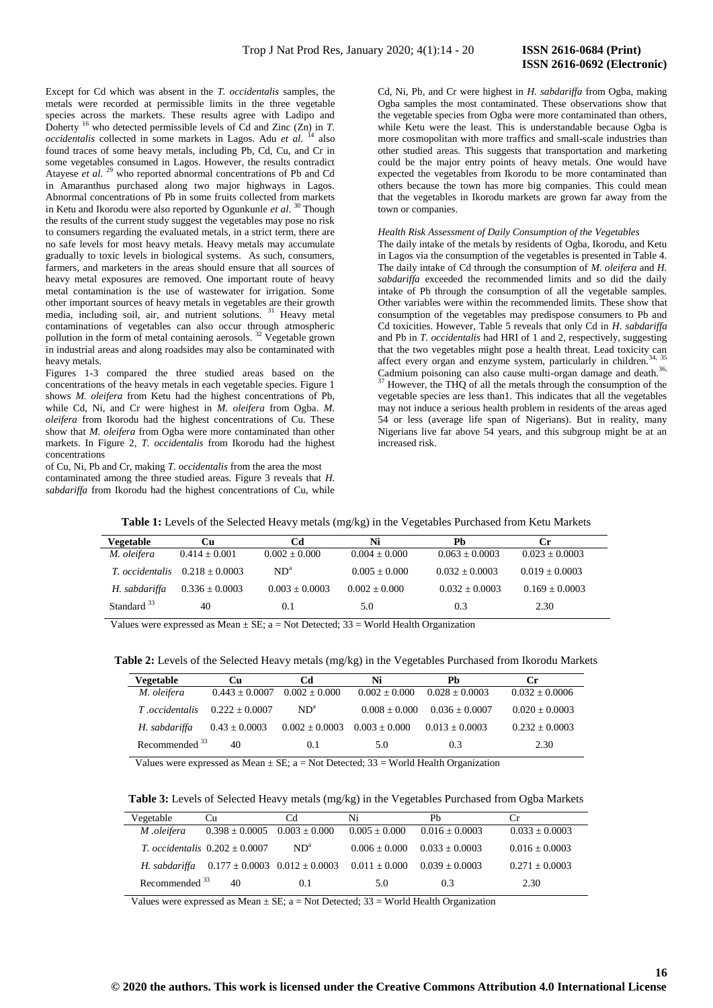**16**

Except for Cd which was absent in the *T. occidentalis* samples, the metals were recorded at permissible limits in the three vegetable species across the markets. These results agree with Ladipo and Doherty <sup>16</sup> who detected permissible levels of Cd and Zinc (Zn) in *T*. *occidentalis* collected in some markets in Lagos. Adu *et al.* <sup>14</sup> also found traces of some heavy metals, including Pb, Cd, Cu, and Cr in some vegetables consumed in Lagos. However, the results contradict Atayese *et al*. <sup>29</sup> who reported abnormal concentrations of Pb and Cd in Amaranthus purchased along two major highways in Lagos. Abnormal concentrations of Pb in some fruits collected from markets in Ketu and Ikorodu were also reported by Ogunkunle *et al*. <sup>30</sup> Though the results of the current study suggest the vegetables may pose no risk to consumers regarding the evaluated metals, in a strict term, there are no safe levels for most heavy metals. Heavy metals may accumulate gradually to toxic levels in biological systems. As such, consumers, farmers, and marketers in the areas should ensure that all sources of heavy metal exposures are removed. One important route of heavy metal contamination is the use of wastewater for irrigation. Some other important sources of heavy metals in vegetables are their growth media, including soil, air, and nutrient solutions. <sup>31</sup> Heavy metal contaminations of vegetables can also occur through atmospheric pollution in the form of metal containing aerosols.<sup>32</sup> Vegetable grown in industrial areas and along roadsides may also be contaminated with heavy metals.

Figures 1-3 compared the three studied areas based on the concentrations of the heavy metals in each vegetable species. Figure 1 shows *M. oleifera* from Ketu had the highest concentrations of Pb, while Cd, Ni, and Cr were highest in *M. oleifera* from Ogba. *M. oleifera* from Ikorodu had the highest concentrations of Cu. These show that *M. oleifera* from Ogba were more contaminated than other markets. In Figure 2, *T. occidentalis* from Ikorodu had the highest concentrations

of Cu, Ni, Pb and Cr, making *T. occidentalis* from the area the most contaminated among the three studied areas. Figure 3 reveals that *H. sabdariffa* from Ikorodu had the highest concentrations of Cu, while

Cd, Ni, Pb, and Cr were highest in *H. sabdariffa* from Ogba, making Ogba samples the most contaminated. These observations show that the vegetable species from Ogba were more contaminated than others, while Ketu were the least. This is understandable because Ogba is more cosmopolitan with more traffics and small-scale industries than other studied areas. This suggests that transportation and marketing could be the major entry points of heavy metals. One would have expected the vegetables from Ikorodu to be more contaminated than others because the town has more big companies. This could mean that the vegetables in Ikorodu markets are grown far away from the town or companies.

### *Health Risk Assessment of Daily Consumption of the Vegetables*

The daily intake of the metals by residents of Ogba, Ikorodu, and Ketu in Lagos via the consumption of the vegetables is presented in Table 4. The daily intake of Cd through the consumption of *M. oleifera* and *H. sabdariffa* exceeded the recommended limits and so did the daily intake of Pb through the consumption of all the vegetable samples. Other variables were within the recommended limits. These show that consumption of the vegetables may predispose consumers to Pb and Cd toxicities. However, Table 5 reveals that only Cd in *H*. *sabdariffa* and Pb in *T*. *occidentalis* had HRI of 1 and 2, respectively, suggesting that the two vegetables might pose a health threat. Lead toxicity can affect every organ and enzyme system, particularly in children.<sup>34, 35</sup> Cadmium poisoning can also cause multi-organ damage and death.<sup>36,</sup>  $37$  However, the THQ of all the metals through the consumption of the vegetable species are less than1. This indicates that all the vegetables may not induce a serious health problem in residents of the areas aged 54 or less (average life span of Nigerians). But in reality, many Nigerians live far above 54 years, and this subgroup might be at an increased risk.

| Table 1: Levels of the Selected Heavy metals (mg/kg) in the Vegetables Purchased from Ketu Markets |  |
|----------------------------------------------------------------------------------------------------|--|
|----------------------------------------------------------------------------------------------------|--|

| <b>Vegetable</b>       | Cu                                        | Cd                 | Ni                | Pb.              | Сr                 |
|------------------------|-------------------------------------------|--------------------|-------------------|------------------|--------------------|
| M. oleifera            | $0.414 \pm 0.001$                         | $0.002 \pm 0.000$  | $0.004 \pm 0.000$ | $0.063 + 0.0003$ | $0.023 \pm 0.0003$ |
|                        | <i>T. occidentalis</i> $0.218 \pm 0.0003$ | $ND^a$             | $0.005 \pm 0.000$ | $0.032 + 0.0003$ | $0.019 \pm 0.0003$ |
| H. sabdariffa          | $0.336 \pm 0.0003$                        | $0.003 \pm 0.0003$ | $0.002 \pm 0.000$ | $0.032 + 0.0003$ | $0.169 \pm 0.0003$ |
| Standard <sup>33</sup> | 40                                        | 0.1                | 5.0               | 0.3              | 2.30               |

Values were expressed as Mean  $\pm$  SE; a = Not Detected; 33 = World Health Organization

| Table 2: Levels of the Selected Heavy metals (mg/kg) in the Vegetables Purchased from Ikorodu Markets |  |  |  |
|-------------------------------------------------------------------------------------------------------|--|--|--|
|-------------------------------------------------------------------------------------------------------|--|--|--|

| Vegetable        | <b>Cu</b>          | Cd                                   | Ni                | Ph                 | Cr                 |
|------------------|--------------------|--------------------------------------|-------------------|--------------------|--------------------|
| M. oleifera      | $0.443 \pm 0.0007$ | $0.002 \pm 0.000$                    | $0.002 \pm 0.000$ | $0.028 + 0.0003$   | $0.032 \pm 0.0006$ |
| T.occidentalis   | $0.222 \pm 0.0007$ | $ND^a$                               | $0.008 \pm 0.000$ | $0.036 \pm 0.0007$ | $0.020 \pm 0.0003$ |
| H. sabdariffa    | $0.43 \pm 0.0003$  | $0.002 \pm 0.0003$ $0.003 \pm 0.000$ |                   | $0.013 + 0.0003$   | $0.232 \pm 0.0003$ |
| Recommended $33$ | 40                 | 0.1                                  | 5.0               | 0.3                | 2.30               |

Values were expressed as Mean  $\pm$  SE; a = Not Detected; 33 = World Health Organization

**Table 3:** Levels of Selected Heavy metals (mg/kg) in the Vegetables Purchased from Ogba Markets

| Vegetable                 | Cu                                                      | Cd     | Ni                | Ph                 | Cr.                |
|---------------------------|---------------------------------------------------------|--------|-------------------|--------------------|--------------------|
| M .oleifera               | $0.398 \pm 0.0005$ $0.003 \pm 0.000$                    |        | $0.005 \pm 0.000$ | $0.016 \pm 0.0003$ | $0.033 \pm 0.0003$ |
|                           | <i>T. occidentalis</i> $0.202 \pm 0.0007$               | $ND^a$ | $0.006 \pm 0.000$ | $0.033 + 0.0003$   | $0.016 \pm 0.0003$ |
| H. sabdariffa             | $0.177 \pm 0.0003$ $0.012 \pm 0.0003$ $0.011 \pm 0.000$ |        |                   | $0.039 \pm 0.0003$ | $0.271 \pm 0.0003$ |
| Recommended <sup>33</sup> | 40                                                      | 0.1    | 5.0               | 0.3                | 2.30               |

Values were expressed as Mean  $\pm$  SE; a = Not Detected; 33 = World Health Organization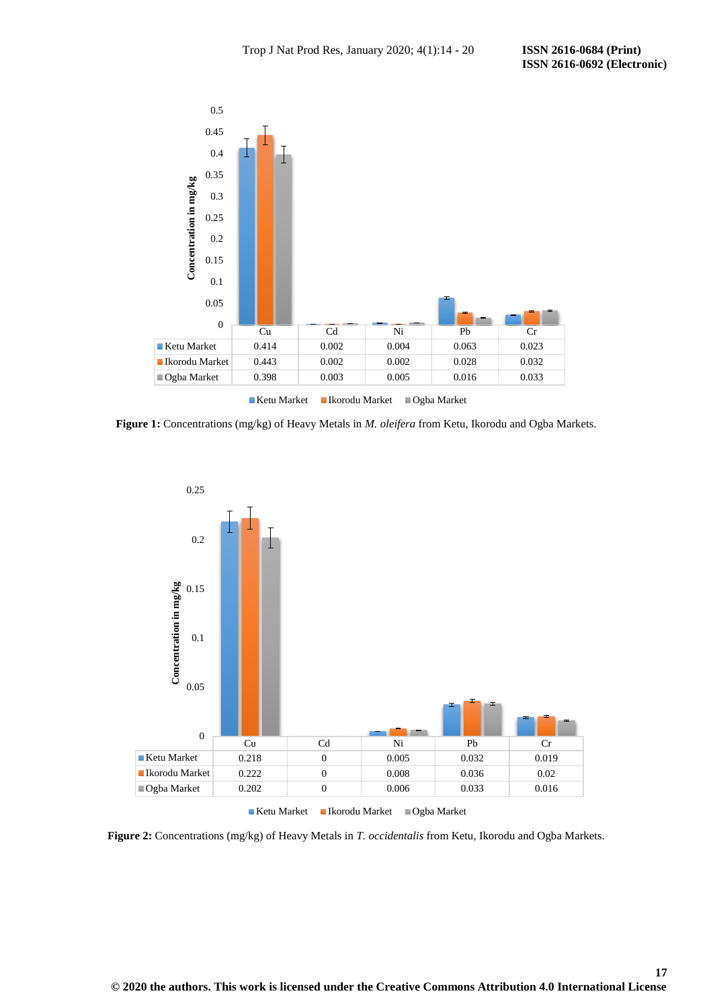

**Figure 1:** Concentrations (mg/kg) of Heavy Metals in *M. oleifera* from Ketu, Ikorodu and Ogba Markets.



**Figure 2:** Concentrations (mg/kg) of Heavy Metals in *T. occidentalis* from Ketu, Ikorodu and Ogba Markets.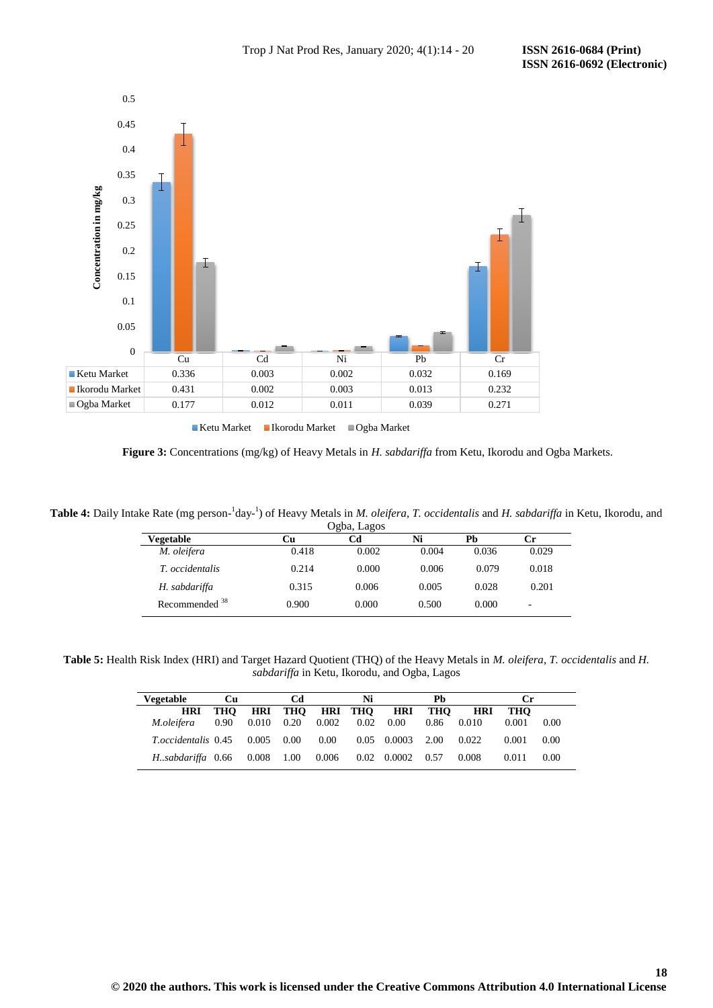

 **Figure 3:** Concentrations (mg/kg) of Heavy Metals in *H. sabdariffa* from Ketu, Ikorodu and Ogba Markets.

**Table 4:** Daily Intake Rate (mg person-1 day-1 ) of Heavy Metals in *M. oleifera*, *T. occidentalis* and *H. sabdariffa* in Ketu, Ikorodu, and

|                  |       | Ogba, Lagos |       |       |       |  |
|------------------|-------|-------------|-------|-------|-------|--|
| Vegetable        | Cu    | Cd          | Ni    | Pb    | Сr    |  |
| M. oleifera      | 0.418 | 0.002       | 0.004 | 0.036 | 0.029 |  |
| T. occidentalis  | 0.214 | 0.000       | 0.006 | 0.079 | 0.018 |  |
| H. sabdariffa    | 0.315 | 0.006       | 0.005 | 0.028 | 0.201 |  |
| Recommended $38$ | 0.900 | 0.000       | 0.500 | 0.000 | ۰     |  |

**Table 5:** Health Risk Index (HRI) and Target Hazard Quotient (THQ) of the Heavy Metals in *M. oleifera*, *T. occidentalis* and *H. sabdariffa* in Ketu, Ikorodu, and Ogba, Lagos

| Vegetable                  | Cu   |       | Cd                             |                 | Ni   |                     | Ph   |            | Сr    |      |
|----------------------------|------|-------|--------------------------------|-----------------|------|---------------------|------|------------|-------|------|
| <b>HRI</b>                 | тно  |       |                                | HRI THO HRI THO |      | HRI                 | THO  | <b>HRI</b> | THO   |      |
| M.oleifera                 | 0.90 |       | $0.010 \quad 0.20 \quad 0.002$ |                 | 0.02 | 0.00                | 0.86 | 0.010      | 0.001 | 0.00 |
| <i>T.occidentalis</i> 0.45 |      | 0.005 | 0.00                           | 0.00            |      | $0.05 \quad 0.0003$ | 2.00 | 0.022      | 0.001 | 0.00 |
| Hsabdariffa 0.66           |      | 0.008 | 1.00                           | 0.006           | 0.02 | 0.0002              | 0.57 | 0.008      | 0.011 | 0.00 |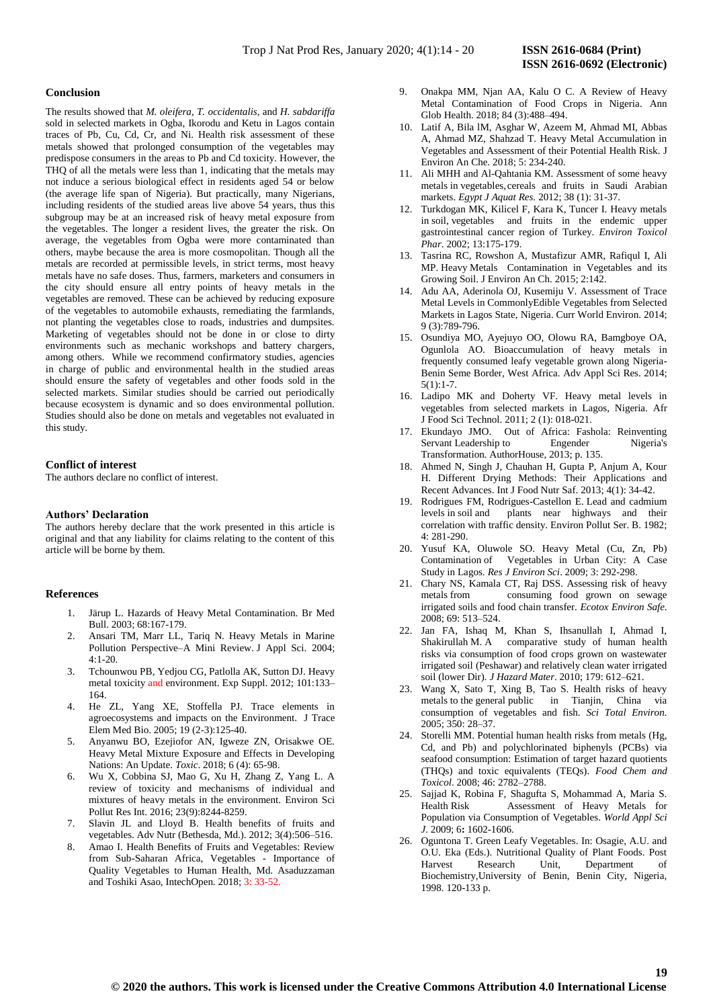### **Conclusion**

The results showed that *M. oleifera*, *T. occidentalis*, and *H. sabdariffa* sold in selected markets in Ogba, Ikorodu and Ketu in Lagos contain traces of Pb, Cu, Cd, Cr, and Ni. Health risk assessment of these metals showed that prolonged consumption of the vegetables may predispose consumers in the areas to Pb and Cd toxicity. However, the THQ of all the metals were less than 1, indicating that the metals may not induce a serious biological effect in residents aged 54 or below (the average life span of Nigeria). But practically, many Nigerians, including residents of the studied areas live above 54 years, thus this subgroup may be at an increased risk of heavy metal exposure from the vegetables. The longer a resident lives, the greater the risk. On average, the vegetables from Ogba were more contaminated than others, maybe because the area is more cosmopolitan. Though all the metals are recorded at permissible levels, in strict terms, most heavy metals have no safe doses. Thus, farmers, marketers and consumers in the city should ensure all entry points of heavy metals in the vegetables are removed. These can be achieved by reducing exposure of the vegetables to automobile exhausts, remediating the farmlands, not planting the vegetables close to roads, industries and dumpsites. Marketing of vegetables should not be done in or close to dirty environments such as mechanic workshops and battery chargers, among others. While we recommend confirmatory studies, agencies in charge of public and environmental health in the studied areas should ensure the safety of vegetables and other foods sold in the selected markets. Similar studies should be carried out periodically because ecosystem is dynamic and so does environmental pollution. Studies should also be done on metals and vegetables not evaluated in this study.

# **Conflict of interest**

The authors declare no conflict of interest.

## **Authors' Declaration**

The authors hereby declare that the work presented in this article is original and that any liability for claims relating to the content of this article will be borne by them.

# **References**

- 1. Järup L. Hazards of Heavy Metal Contamination. Br Med Bull. 2003; 68:167-179.
- 2. Ansari TM, Marr LL, Tariq N. Heavy Metals in Marine Pollution Perspective–A Mini Review. J Appl Sci. 2004; 4:1-20*.*
- 3. Tchounwou PB, Yedjou CG, Patlolla AK, Sutton DJ. Heavy metal toxicity and environment. Exp Suppl. 2012; 101:133– 164.
- 4. He ZL, Yang XE, Stoffella PJ. Trace elements in agroecosystems and impacts on the Environment. J Trace Elem Med Bio. 2005; 19 (2-3):125-40.
- 5. Anyanwu BO, Ezejiofor AN, Igweze ZN, Orisakwe OE. Heavy Metal Mixture Exposure and Effects in Developing Nations: An Update. *Toxic*. 2018; 6 (4): 65-98.
- 6. Wu X, Cobbina SJ, Mao G, Xu H, Zhang Z, Yang L. A review of toxicity and mechanisms of individual and mixtures of heavy metals in the environment. Environ Sci Pollut Res Int. 2016; 23(9):8244-8259.
- 7. Slavin JL and Lloyd B. Health benefits of fruits and vegetables. Adv Nutr (Bethesda, Md.). 2012; 3(4):506–516.
- 8. Amao I. Health Benefits of Fruits and Vegetables: Review from Sub-Saharan Africa, Vegetables - Importance of Quality Vegetables to Human Health, Md. Asaduzzaman and Toshiki Asao, IntechOpen. 2018; 3: 33-52.
- 9. Onakpa MM, Njan AA, Kalu O C. A Review of Heavy Metal Contamination of Food Crops in Nigeria. Ann Glob Health. 2018; 84 (3):488–494.
- 10. Latif A, Bila lM, Asghar W, Azeem M, Ahmad MI, Abbas A, Ahmad MZ, Shahzad T. Heavy Metal Accumulation in Vegetables and Assessment of their Potential Health Risk. J Environ An Che. 2018; 5: 234-240.
- 11. Ali MHH and Al-Qahtania KM. Assessment of some heavy metals in vegetables, cereals and fruits in Saudi Arabian markets. *Egypt J Aquat Res.* 2012; 38 (1): 31-37.
- 12. Turkdogan MK, Kilicel F, Kara K, Tuncer I. Heavy metals in soil, vegetables and fruits in the endemic upper gastrointestinal cancer region of Turkey. *Environ Toxicol Phar*. 2002; 13:175-179.
- 13. Tasrina RC, Rowshon A, Mustafizur AMR, Rafiqul I, Ali MP. Heavy Metals Contamination in Vegetables and its Growing Soil. J Environ An Ch. 2015; 2:142.
- 14. Adu AA, Aderinola OJ, Kusemiju V. Assessment of Trace Metal Levels in CommonlyEdible Vegetables from Selected Markets in Lagos State, Nigeria. Curr World Environ. 2014; 9 (3):789-796.
- 15. Osundiya MO, Ayejuyo OO, Olowu RA, Bamgboye OA, Ogunlola AO. Bioaccumulation of heavy metals in frequently consumed leafy vegetable grown along Nigeria-Benin Seme Border, West Africa. Adv Appl Sci Res. 2014; 5(1):1-7.
- 16. Ladipo MK and Doherty VF. Heavy metal levels in vegetables from selected markets in Lagos, Nigeria. Afr J Food Sci Technol. 2011; 2 (1): 018-021.
- 17. Ekundayo JMO. Out of Africa: Fashola: Reinventing Servant Leadership to Engender Nigeria's Transformation. AuthorHouse, 2013; p. 135.
- 18. Ahmed N, Singh J, Chauhan H, Gupta P, Anjum A, Kour H. Different Drying Methods: Their Applications and Recent Advances. Int J Food Nutr Saf. 2013; 4(1): 34-42.
- 19. Rodrigues FM, Rodrigues-Castellon E. Lead and cadmium levels in soil and plants near highways and their correlation with traffic density. Environ Pollut Ser. B. 1982; 4: 281-290.
- 20. Yusuf KA, Oluwole SO. Heavy Metal (Cu, Zn, Pb) Contamination of Vegetables in Urban City: A Case Study in Lagos. *Res J Environ Sci*. 2009; 3: 292-298.
- 21. Chary NS, Kamala CT, Raj DSS. Assessing risk of heavy metals from consuming food grown on sewage irrigated soils and food chain transfer. *Ecotox Environ Safe.* 2008; 69: 513–524.
- 22. Jan FA, Ishaq M, Khan S, Ihsanullah I, Ahmad I, Shakirullah M. A comparative study of human health risks via consumption of food crops grown on wastewater irrigated soil (Peshawar) and relatively clean water irrigated soil (lower Dir). *J Hazard Mater*. 2010; 179: 612–621.
- 23. Wang X, Sato T, Xing B, Tao S. Health risks of heavy metals to the general public in Tianjin, China via consumption of vegetables and fish. *Sci Total Environ.*  2005; 350: 28–37.
- 24. Storelli MM. Potential human health risks from metals (Hg, Cd, and Pb) and polychlorinated biphenyls (PCBs) via seafood consumption: Estimation of target hazard quotients (THQs) and toxic equivalents (TEQs). *Food Chem and Toxicol*. 2008; 46: 2782–2788.
- 25. Sajjad K, Robina F, Shagufta S, Mohammad A, Maria S. Health Risk Assessment of Heavy Metals for Population via Consumption of Vegetables. *World Appl Sci J*. 2009; 6**:** 1602-1606.
- 26. Oguntona T. Green Leafy Vegetables. In: Osagie, A.U. and O.U. Eka (Eds.). Nutritional Quality of Plant Foods. Post Harvest Research Unit, Department of Biochemistry,University of Benin, Benin City, Nigeria, 1998. 120-133 p.